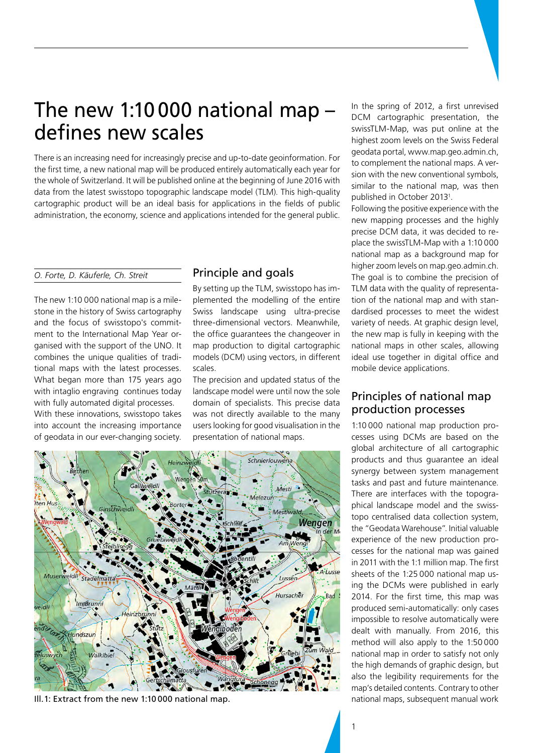# The new 1:10 000 national map – defines new scales

There is an increasing need for increasingly precise and up-to-date geoinformation. For the first time, a new national map will be produced entirely automatically each year for the whole of Switzerland. It will be published online at the beginning of June 2016 with data from the latest swisstopo topographic landscape model (TLM). This high-quality cartographic product will be an ideal basis for applications in the fields of public administration, the economy, science and applications intended for the general public.

#### *O. Forte, D. Käuferle, Ch. Streit*

The new 1:10 000 national map is a milestone in the history of Swiss cartography and the focus of swisstopo's commitment to the International Map Year organised with the support of the UNO. It combines the unique qualities of traditional maps with the latest processes. What began more than 175 years ago with intaglio engraving continues today with fully automated digital processes. With these innovations, swisstopo takes

into account the increasing importance of geodata in our ever-changing society.

## Principle and goals

By setting up the TLM, swisstopo has implemented the modelling of the entire Swiss landscape using ultra-precise three-dimensional vectors. Meanwhile, the office guarantees the changeover in map production to digital cartographic models (DCM) using vectors, in different scales.

The precision and updated status of the landscape model were until now the sole domain of specialists. This precise data was not directly available to the many users looking for good visualisation in the presentation of national maps.



Ill.1: Extract from the new 1:10 000 national map.

In the spring of 2012, a first unrevised DCM cartographic presentation, the swissTLM-Map, was put online at the highest zoom levels on the Swiss Federal geodata portal, www.map.geo.admin.ch, to complement the national maps. A version with the new conventional symbols, similar to the national map, was then published in October 20131 .

Following the positive experience with the new mapping processes and the highly precise DCM data, it was decided to replace the swissTLM-Map with a 1:10 000 national map as a background map for higher zoom levels on map.geo.admin.ch. The goal is to combine the precision of TLM data with the quality of representation of the national map and with standardised processes to meet the widest variety of needs. At graphic design level, the new map is fully in keeping with the national maps in other scales, allowing ideal use together in digital office and mobile device applications.

# Principles of national map production processes

1:10 000 national map production processes using DCMs are based on the global architecture of all cartographic products and thus guarantee an ideal synergy between system management tasks and past and future maintenance. There are interfaces with the topographical landscape model and the swisstopo centralised data collection system, the "Geodata Warehouse". Initial valuable experience of the new production processes for the national map was gained in 2011 with the 1:1 million map. The first sheets of the 1:25 000 national map using the DCMs were published in early 2014. For the first time, this map was produced semi-automatically: only cases impossible to resolve automatically were dealt with manually. From 2016, this method will also apply to the 1:50 000 national map in order to satisfy not only the high demands of graphic design, but also the legibility requirements for the map's detailed contents. Contrary to other national maps, subsequent manual work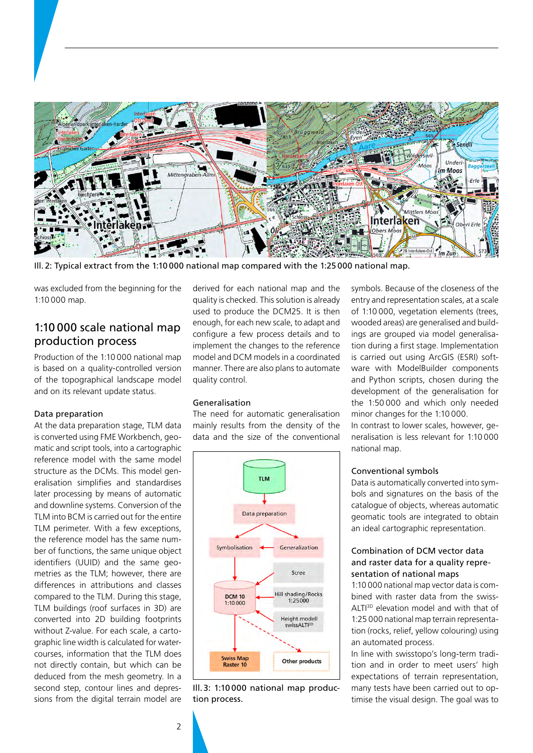

Ill. 2: Typical extract from the 1:10 000 national map compared with the 1:25 000 national map.

was excluded from the beginning for the 1:10 000 map.

# 1:10 000 scale national map production process

Production of the 1:10 000 national map is based on a quality-controlled version of the topographical landscape model and on its relevant update status.

#### Data preparation

At the data preparation stage, TLM data is converted using FME Workbench, geomatic and script tools, into a cartographic reference model with the same model structure as the DCMs. This model generalisation simplifies and standardises later processing by means of automatic and downline systems. Conversion of the TLM into BCM is carried out for the entire TLM perimeter. With a few exceptions, the reference model has the same number of functions, the same unique object identifiers (UUID) and the same geometries as the TLM; however, there are differences in attributions and classes compared to the TLM. During this stage, TLM buildings (roof surfaces in 3D) are converted into 2D building footprints without Z-value. For each scale, a cartographic line width is calculated for watercourses, information that the TLM does not directly contain, but which can be deduced from the mesh geometry. In a second step, contour lines and depressions from the digital terrain model are

derived for each national map and the quality is checked. This solution is already used to produce the DCM25. It is then enough, for each new scale, to adapt and configure a few process details and to implement the changes to the reference model and DCM models in a coordinated manner. There are also plans to automate quality control.

## Generalisation

The need for automatic generalisation mainly results from the density of the data and the size of the conventional



Ill.3: 1:10 000 national map production process.

symbols. Because of the closeness of the entry and representation scales, at a scale of 1:10 000, vegetation elements (trees, wooded areas) are generalised and buildings are grouped via model generalisation during a first stage. Implementation is carried out using ArcGIS (ESRI) software with ModelBuilder components and Python scripts, chosen during the development of the generalisation for the 1:50 000 and which only needed minor changes for the 1:10 000.

In contrast to lower scales, however, generalisation is less relevant for 1:10 000 national map.

#### Conventional symbols

Data is automatically converted into symbols and signatures on the basis of the catalogue of objects, whereas automatic geomatic tools are integrated to obtain an ideal cartographic representation.

## Combination of DCM vector data and raster data for a quality representation of national maps

1:10 000 national map vector data is combined with raster data from the swiss-ALTI<sup>3D</sup> elevation model and with that of 1:25 000 national map terrain representation (rocks, relief, yellow colouring) using an automated process.

In line with swisstopo's long-term tradition and in order to meet users' high expectations of terrain representation, many tests have been carried out to optimise the visual design. The goal was to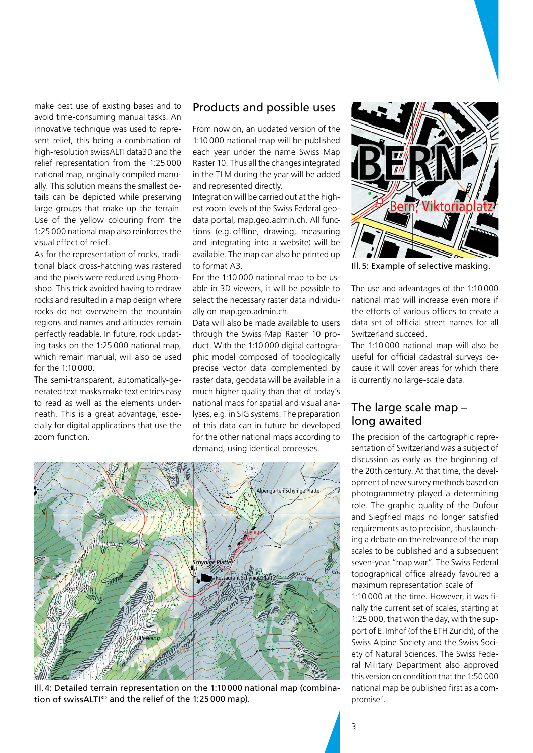make best use of existing bases and to avoid time-consuming manual tasks. An innovative technique was used to represent relief, this being a combination of high-resolution swissALTI data3D and the relief representation from the 1:25 000 national map, originally compiled manually. This solution means the smallest details can be depicted while preserving large groups that make up the terrain. Use of the yellow colouring from the 1:25 000 national map also reinforces the visual effect of relief.

As for the representation of rocks, traditional black cross-hatching was rastered and the pixels were reduced using Photoshop. This trick avoided having to redraw rocks and resulted in a map design where rocks do not overwhelm the mountain regions and names and altitudes remain perfectly readable. In future, rock updating tasks on the 1:25 000 national map, which remain manual, will also be used for the 1:10 000.

The semi-transparent, automatically-generated text masks make text entries easy to read as well as the elements underneath. This is a great advantage, especially for digital applications that use the zoom function.

## Products and possible uses

From now on, an updated version of the 1:10 000 national map will be published each year under the name Swiss Map Raster 10. Thus all the changes integrated in the TLM during the year will be added and represented directly.

Integration will be carried out at the highest zoom levels of the Swiss Federal geodata portal, map.geo.admin.ch. All functions (e.g. offline, drawing, measuring and integrating into a website) will be available. The map can also be printed up to format A3.

For the 1:10 000 national map to be usable in 3D viewers, it will be possible to select the necessary raster data individually on map.geo.admin.ch.

Data will also be made available to users through the Swiss Map Raster 10 product. With the 1:10 000 digital cartographic model composed of topologically precise vector data complemented by raster data, geodata will be available in a much higher quality than that of today's national maps for spatial and visual analyses, e.g. in SIG systems. The preparation of this data can in future be developed for the other national maps according to demand, using identical processes.



Ill.4: Detailed terrain representation on the 1:10 000 national map (combination of swissALTI<sup>3D</sup> and the relief of the 1:25 000 map).



Ill.5: Example of selective masking.

The use and advantages of the 1:10 000 national map will increase even more if the efforts of various offices to create a data set of official street names for all Switzerland succeed.

The 1:10 000 national map will also be useful for official cadastral surveys because it will cover areas for which there is currently no large-scale data.

## The large scale map – long awaited

The precision of the cartographic representation of Switzerland was a subject of discussion as early as the beginning of the 20th century. At that time, the development of new survey methods based on photogrammetry played a determining role. The graphic quality of the Dufour and Siegfried maps no longer satisfied requirements as to precision, thus launching a debate on the relevance of the map scales to be published and a subsequent seven-year "map war". The Swiss Federal topographical office already favoured a maximum representation scale of 1:10 000 at the time. However, it was finally the current set of scales, starting at 1:25 000, that won the day, with the support of E.Imhof (of the ETH Zurich), of the Swiss Alpine Society and the Swiss Society of Natural Sciences. The Swiss Federal Military Department also approved this version on condition that the 1:50 000 national map be published first as a compromise<sup>2</sup>.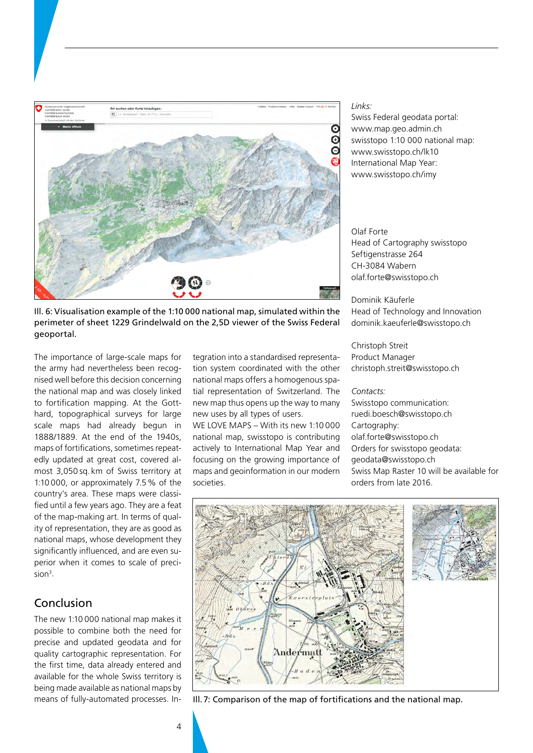

Ill. 6: Visualisation example of the 1:10 000 national map, simulated within the perimeter of sheet 1229 Grindelwald on the 2,5D viewer of the Swiss Federal geoportal.

The importance of large-scale maps for the army had nevertheless been recognised well before this decision concerning the national map and was closely linked to fortification mapping. At the Gotthard, topographical surveys for large scale maps had already begun in 1888/1889. At the end of the 1940s, maps of fortifications, sometimes repeatedly updated at great cost, covered almost 3,050 sq. km of Swiss territory at 1:10 000, or approximately 7.5% of the country's area. These maps were classified until a few years ago. They are a feat of the map-making art. In terms of quality of representation, they are as good as national maps, whose development they significantly influenced, and are even superior when it comes to scale of precision<sup>3</sup>.

# Conclusion

The new 1:10 000 national map makes it possible to combine both the need for precise and updated geodata and for quality cartographic representation. For the first time, data already entered and available for the whole Swiss territory is being made available as national maps by means of fully-automated processes. Integration into a standardised representation system coordinated with the other national maps offers a homogenous spatial representation of Switzerland. The new map thus opens up the way to many new uses by all types of users.

WE LOVE MAPS – With its new 1:10 000 national map, swisstopo is contributing actively to International Map Year and focusing on the growing importance of maps and geoinformation in our modern societies.

#### *Links:*

Swiss Federal geodata portal: www.map.geo.admin.ch swisstopo 1:10 000 national map: www.swisstopo.ch/lk10 International Map Year: www.swisstopo.ch/imy

Olaf Forte Head of Cartography swisstopo Seftigenstrasse 264 CH-3084 Wabern olaf.forte@swisstopo.ch

Dominik Käuferle Head of Technology and Innovation dominik.kaeuferle@swisstopo.ch

Christoph Streit Product Manager christoph.streit@swisstopo.ch

#### *Contacts:*

Swisstopo communication: ruedi.boesch@swisstopo.ch Cartography: olaf.forte@swisstopo.ch Orders for swisstopo geodata: geodata@swisstopo.ch Swiss Map Raster 10 will be available for orders from late 2016.



Ill.7: Comparison of the map of fortifications and the national map.